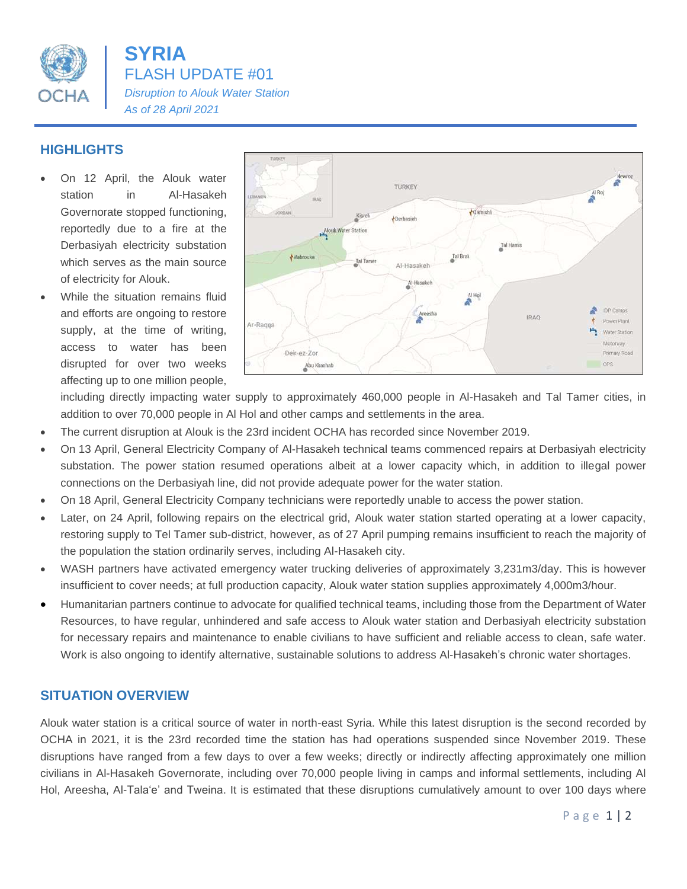

**SYRIA** FLASH UPDATE #01 *Disruption to Alouk Water Station As of 28 April 2021*

## **HIGHLIGHTS**

- On 12 April, the Alouk water station in Al-Hasakeh Governorate stopped functioning, reportedly due to a fire at the Derbasiyah electricity substation which serves as the main source of electricity for Alouk.
- While the situation remains fluid and efforts are ongoing to restore supply, at the time of writing, access to water has been disrupted for over two weeks affecting up to one million people,



including directly impacting water supply to approximately 460,000 people in Al-Hasakeh and Tal Tamer cities, in addition to over 70,000 people in Al Hol and other camps and settlements in the area.

- The current disruption at Alouk is the 23rd incident OCHA has recorded since November 2019.
- On 13 April, General Electricity Company of Al-Hasakeh technical teams commenced repairs at Derbasiyah electricity substation. The power station resumed operations albeit at a lower capacity which, in addition to illegal power connections on the Derbasiyah line, did not provide adequate power for the water station.
- On 18 April, General Electricity Company technicians were reportedly unable to access the power station.
- Later, on 24 April, following repairs on the electrical grid, Alouk water station started operating at a lower capacity, restoring supply to Tel Tamer sub-district, however, as of 27 April pumping remains insufficient to reach the majority of the population the station ordinarily serves, including Al-Hasakeh city.
- WASH partners have activated emergency water trucking deliveries of approximately 3,231m3/day. This is however insufficient to cover needs; at full production capacity, Alouk water station supplies approximately 4,000m3/hour.
- Humanitarian partners continue to advocate for qualified technical teams, including those from the Department of Water Resources, to have regular, unhindered and safe access to Alouk water station and Derbasiyah electricity substation for necessary repairs and maintenance to enable civilians to have sufficient and reliable access to clean, safe water. Work is also ongoing to identify alternative, sustainable solutions to address Al-Hasakeh's chronic water shortages.

## **SITUATION OVERVIEW**

Alouk water station is a critical source of water in north-east Syria. While this latest disruption is the second recorded by OCHA in 2021, it is the 23rd recorded time the station has had operations suspended since November 2019. These disruptions have ranged from a few days to over a few weeks; directly or indirectly affecting approximately one million civilians in Al-Hasakeh Governorate, including over 70,000 people living in camps and informal settlements, including Al Hol, Areesha, Al-Tala'e' and Tweina. It is estimated that these disruptions cumulatively amount to over 100 days where